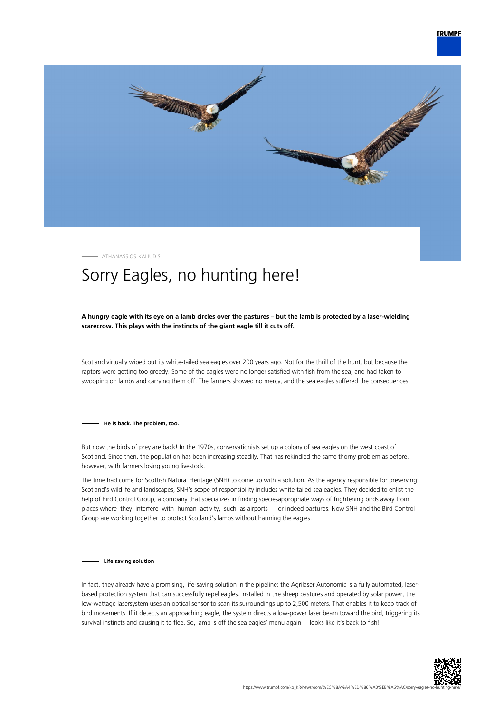

ATHANASSIOS KALIUDIS

## Sorry Eagles, no hunting here!

## **A hungry eagle with its eye on a lamb circles over the pastures – but the lamb is protected by a laser-wielding scarecrow. This plays with the instincts of the giant eagle till it cuts off.**

Scotland virtually wiped out its white-tailed sea eagles over 200 years ago. Not for the thrill of the hunt, but because the raptors were getting too greedy. Some of the eagles were no longer satisfied with fish from the sea, and had taken to swooping on lambs and carrying them off. The farmers showed no mercy, and the sea eagles suffered the consequences.

**He is back. The problem, too.**

But now the birds of prey are back! In the 1970s, conservationists set up a colony of sea eagles on the west coast of Scotland. Since then, the population has been increasing steadily. That has rekindled the same thorny problem as before, however, with farmers losing young livestock.

The time had come for Scottish Natural Heritage (SNH) to come up with a solution. As the agency responsible for preserving Scotland's wildlife and landscapes, SNH's scope of responsibility includes white-tailed sea eagles. They decided to enlist the help of Bird Control Group, a company that specializes in finding speciesappropriate ways of frightening birds away from places where they interfere with human activity, such as airports – or indeed pastures. Now SNH and the Bird Control Group are working together to protect Scotland's lambs without harming the eagles.

## **Life saving solution**

In fact, they already have a promising, life-saving solution in the pipeline: the Agrilaser Autonomic is a fully automated, laserbased protection system that can successfully repel eagles. Installed in the sheep pastures and operated by solar power, the low-wattage lasersystem uses an optical sensor to scan its surroundings up to 2,500 meters. That enables it to keep track of bird movements. If it detects an approaching eagle, the system directs a low-power laser beam toward the bird, triggering its survival instincts and causing it to flee. So, lamb is off the sea eagles' menu again – looks like it's back to fish!